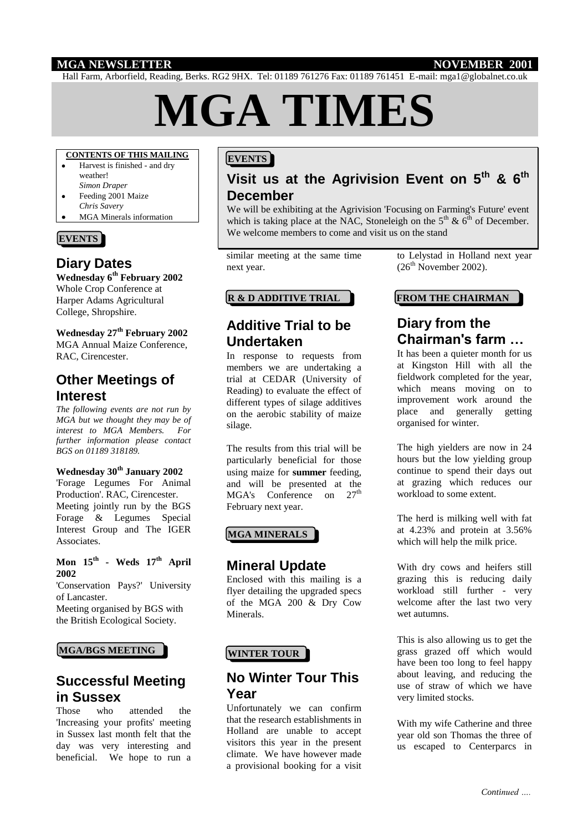## **MGA NEWSLETTER NOVEMBER 2001**

Hall Farm, Arborfield, Reading, Berks. RG2 9HX. Tel: 01189 761276 Fax: 01189 761451 E-mail: mga1@globalnet.co.uk

# **MGA TIMES**

## **CONTENTS OF THIS MAILING**

- Harvest is finished and dry weather! *Simon Draper*
- Feeding 2001 Maize *Chris Savery*
- MGA Minerals information

# **EVENTS**

# **Diary Dates**

**Wednesday 6th February 2002** Whole Crop Conference at Harper Adams Agricultural College, Shropshire.

#### **Wednesday 27th February 2002** MGA Annual Maize Conference, RAC, Cirencester.

**Other Meetings of** 

#### **Interest**

*The following events are not run by MGA but we thought they may be of interest to MGA Members. For further information please contact BGS on 01189 318189.*

#### **Wednesday 30th January 2002**

'Forage Legumes For Animal Production'. RAC, Cirencester. Meeting jointly run by the BGS Forage & Legumes Special Interest Group and The IGER Associates.

#### **Mon 15th - Weds 17th April 2002**

'Conservation Pays?' University of Lancaster.

Meeting organised by BGS with the British Ecological Society.

# **MGA/BGS MEETING WINTER TOUR**

# **Successful Meeting in Sussex**

Those who attended the 'Increasing your profits' meeting in Sussex last month felt that the day was very interesting and beneficial. We hope to run a

# **EVENTS**

# **Visit us at the Agrivision Event on 5th & 6th December**

We will be exhibiting at the Agrivision 'Focusing on Farming's Future' event which is taking place at the NAC, Stoneleigh on the  $5<sup>th</sup>$  &  $6<sup>th</sup>$  of December. We welcome members to come and visit us on the stand

similar meeting at the same time next year.

#### **R & D ADDITIVE TRIAL FROM THE CHAIRMAN**

# **Additive Trial to be Undertaken**

In response to requests from members we are undertaking a trial at CEDAR (University of Reading) to evaluate the effect of different types of silage additives on the aerobic stability of maize silage.

The results from this trial will be particularly beneficial for those using maize for **summer** feeding, and will be presented at the MGA's Conference on 27<sup>th</sup> February next year.

#### **MGA MINERALS**

## **Mineral Update**

Enclosed with this mailing is a flyer detailing the upgraded specs of the MGA 200 & Dry Cow Minerals.

# **No Winter Tour This Year**

Unfortunately we can confirm that the research establishments in Holland are unable to accept visitors this year in the present climate. We have however made a provisional booking for a visit

to Lelystad in Holland next year  $(26<sup>th</sup> November 2002)$ .

# **Diary from the Chairman's farm …**

It has been a quieter month for us at Kingston Hill with all the fieldwork completed for the year, which means moving on to improvement work around the place and generally getting organised for winter.

The high yielders are now in 24 hours but the low yielding group continue to spend their days out at grazing which reduces our workload to some extent.

The herd is milking well with fat at 4.23% and protein at 3.56% which will help the milk price.

With dry cows and heifers still grazing this is reducing daily workload still further - very welcome after the last two very wet autumns.

This is also allowing us to get the grass grazed off which would have been too long to feel happy about leaving, and reducing the use of straw of which we have very limited stocks.

With my wife Catherine and three year old son Thomas the three of us escaped to Centerparcs in